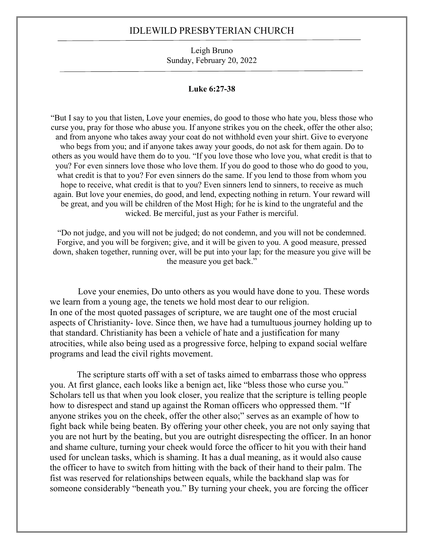### IDLEWILD PRESBYTERIAN CHURCH

Leigh Bruno Sunday, February 20, 2022

#### **Luke 6:27-38**

"But I say to you that listen, Love your enemies, do good to those who hate you, bless those who curse you, pray for those who abuse you. If anyone strikes you on the cheek, offer the other also; and from anyone who takes away your coat do not withhold even your shirt. Give to everyone who begs from you; and if anyone takes away your goods, do not ask for them again. Do to others as you would have them do to you. "If you love those who love you, what credit is that to you? For even sinners love those who love them. If you do good to those who do good to you, what credit is that to you? For even sinners do the same. If you lend to those from whom you hope to receive, what credit is that to you? Even sinners lend to sinners, to receive as much again. But love your enemies, do good, and lend, expecting nothing in return. Your reward will be great, and you will be children of the Most High; for he is kind to the ungrateful and the wicked. Be merciful, just as your Father is merciful.

"Do not judge, and you will not be judged; do not condemn, and you will not be condemned. Forgive, and you will be forgiven; give, and it will be given to you. A good measure, pressed down, shaken together, running over, will be put into your lap; for the measure you give will be the measure you get back."

Love your enemies, Do unto others as you would have done to you. These words we learn from a young age, the tenets we hold most dear to our religion. In one of the most quoted passages of scripture, we are taught one of the most crucial aspects of Christianity- love. Since then, we have had a tumultuous journey holding up to that standard. Christianity has been a vehicle of hate and a justification for many atrocities, while also being used as a progressive force, helping to expand social welfare programs and lead the civil rights movement.

The scripture starts off with a set of tasks aimed to embarrass those who oppress you. At first glance, each looks like a benign act, like "bless those who curse you." Scholars tell us that when you look closer, you realize that the scripture is telling people how to disrespect and stand up against the Roman officers who oppressed them. "If anyone strikes you on the cheek, offer the other also;" serves as an example of how to fight back while being beaten. By offering your other cheek, you are not only saying that you are not hurt by the beating, but you are outright disrespecting the officer. In an honor and shame culture, turning your cheek would force the officer to hit you with their hand used for unclean tasks, which is shaming. It has a dual meaning, as it would also cause the officer to have to switch from hitting with the back of their hand to their palm. The fist was reserved for relationships between equals, while the backhand slap was for someone considerably "beneath you." By turning your cheek, you are forcing the officer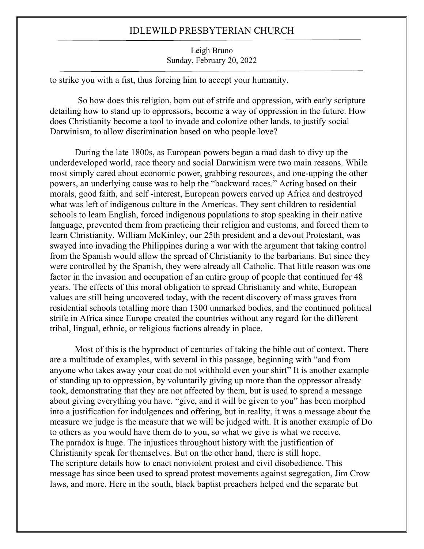# IDLEWILD PRESBYTERIAN CHURCH

### Leigh Bruno Sunday, February 20, 2022

to strike you with a fist, thus forcing him to accept your humanity.

So how does this religion, born out of strife and oppression, with early scripture detailing how to stand up to oppressors, become a way of oppression in the future. How does Christianity become a tool to invade and colonize other lands, to justify social Darwinism, to allow discrimination based on who people love?

During the late 1800s, as European powers began a mad dash to divy up the underdeveloped world, race theory and social Darwinism were two main reasons. While most simply cared about economic power, grabbing resources, and one-upping the other powers, an underlying cause was to help the "backward races." Acting based on their morals, good faith, and self -interest, European powers carved up Africa and destroyed what was left of indigenous culture in the Americas. They sent children to residential schools to learn English, forced indigenous populations to stop speaking in their native language, prevented them from practicing their religion and customs, and forced them to learn Christianity. William McKinley, our 25th president and a devout Protestant, was swayed into invading the Philippines during a war with the argument that taking control from the Spanish would allow the spread of Christianity to the barbarians. But since they were controlled by the Spanish, they were already all Catholic. That little reason was one factor in the invasion and occupation of an entire group of people that continued for 48 years. The effects of this moral obligation to spread Christianity and white, European values are still being uncovered today, with the recent discovery of mass graves from residential schools totalling more than 1300 unmarked bodies, and the continued political strife in Africa since Europe created the countries without any regard for the different tribal, lingual, ethnic, or religious factions already in place.

Most of this is the byproduct of centuries of taking the bible out of context. There are a multitude of examples, with several in this passage, beginning with "and from anyone who takes away your coat do not withhold even your shirt" It is another example of standing up to oppression, by voluntarily giving up more than the oppressor already took, demonstrating that they are not affected by them, but is used to spread a message about giving everything you have. "give, and it will be given to you" has been morphed into a justification for indulgences and offering, but in reality, it was a message about the measure we judge is the measure that we will be judged with. It is another example of Do to others as you would have them do to you, so what we give is what we receive. The paradox is huge. The injustices throughout history with the justification of Christianity speak for themselves. But on the other hand, there is still hope. The scripture details how to enact nonviolent protest and civil disobedience. This message has since been used to spread protest movements against segregation, Jim Crow laws, and more. Here in the south, black baptist preachers helped end the separate but